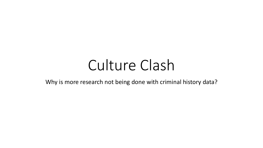# Culture Clash

Why is more research not being done with criminal history data?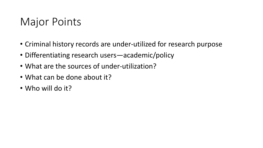## Major Points

- Criminal history records are under-utilized for research purpose
- Differentiating research users—academic/policy
- What are the sources of under-utilization?
- What can be done about it?
- Who will do it?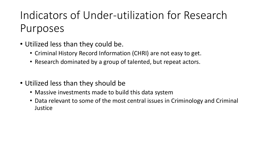## Indicators of Under-utilization for Research Purposes

- Utilized less than they could be.
	- Criminal History Record Information (CHRI) are not easy to get.
	- Research dominated by a group of talented, but repeat actors.
- Utilized less than they should be
	- Massive investments made to build this data system
	- Data relevant to some of the most central issues in Criminology and Criminal **Justice**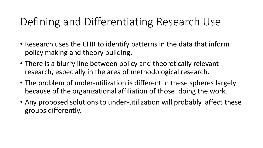## Defining and Differentiating Research Use

- Research uses the CHR to identify patterns in the data that inform policy making and theory building.
- There is a blurry line between policy and theoretically relevant research, especially in the area of methodological research.
- The problem of under-utilization is different in these spheres largely because of the organizational affiliation of those doing the work.
- Any proposed solutions to under-utilization will probably affect these groups differently.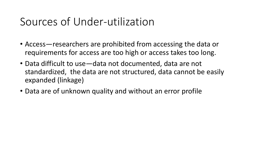## Sources of Under-utilization

- Access—researchers are prohibited from accessing the data or requirements for access are too high or access takes too long.
- Data difficult to use—data not documented, data are not standardized, the data are not structured, data cannot be easily expanded (linkage)
- Data are of unknown quality and without an error profile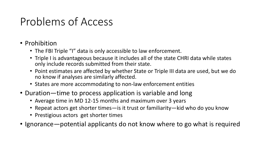## Problems of Access

- Prohibition
	- The FBI Triple "I" data is only accessible to law enforcement.
	- Triple I is advantageous because it includes all of the state CHRI data while states only include records submitted from their state.
	- Point estimates are affected by whether State or Triple III data are used, but we do no know if analyses are similarly affected.
	- States are more accommodating to non-law enforcement entities
- Duration—time to process application is variable and long
	- Average time in MD 12-15 months and maximum over 3 years
	- Repeat actors get shorter times—is it trust or familiarity—kid who do you know
	- Prestigious actors get shorter times
- Ignorance—potential applicants do not know where to go what is required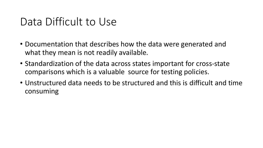#### Data Difficult to Use

- Documentation that describes how the data were generated and what they mean is not readily available.
- Standardization of the data across states important for cross-state comparisons which is a valuable source for testing policies.
- Unstructured data needs to be structured and this is difficult and time consuming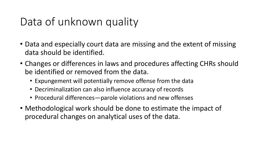## Data of unknown quality

- Data and especially court data are missing and the extent of missing data should be identified.
- Changes or differences in laws and procedures affecting CHRs should be identified or removed from the data.
	- Expungement will potentially remove offense from the data
	- Decriminalization can also influence accuracy of records
	- Procedural differences—parole violations and new offenses
- Methodological work should be done to estimate the impact of procedural changes on analytical uses of the data.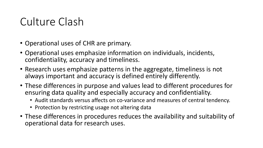## Culture Clash

- Operational uses of CHR are primary.
- Operational uses emphasize information on individuals, incidents, confidentiality, accuracy and timeliness.
- Research uses emphasize patterns in the aggregate, timeliness is not always important and accuracy is defined entirely differently.
- These differences in purpose and values lead to different procedures for ensuring data quality and especially accuracy and confidentiality.
	- Audit standards versus affects on co-variance and measures of central tendency.
	- Protection by restricting usage not altering data
- These differences in procedures reduces the availability and suitability of operational data for research uses.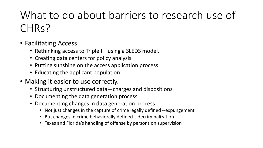# What to do about barriers to research use of CHR<sub>S</sub>?

- Facilitating Access
	- Rethinking access to Triple I—using a SLEDS model.
	- Creating data centers for policy analysis
	- Putting sunshine on the access application process
	- Educating the applicant population
- Making it easier to use correctly.
	- Structuring unstructured data—charges and dispositions
	- Documenting the data generation process
	- Documenting changes in data generation process
		- Not just changes in the capture of crime legally defined --expungement
		- But changes in crime behaviorally defined—decriminalization
		- Texas and Florida's handling of offense by persons on supervision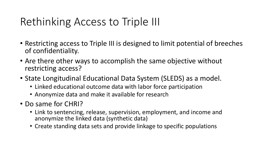## Rethinking Access to Triple III

- Restricting access to Triple III is designed to limit potential of breeches of confidentiality.
- Are there other ways to accomplish the same objective without restricting access?
- State Longitudinal Educational Data System (SLEDS) as a model.
	- Linked educational outcome data with labor force participation
	- Anonymize data and make it available for research
- Do same for CHRI?
	- Link to sentencing, release, supervision, employment, and income and anonymize the linked data (synthetic data)
	- Create standing data sets and provide linkage to specific populations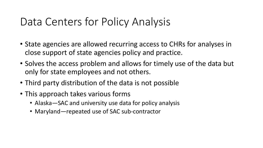#### Data Centers for Policy Analysis

- State agencies are allowed recurring access to CHRs for analyses in close support of state agencies policy and practice.
- Solves the access problem and allows for timely use of the data but only for state employees and not others.
- Third party distribution of the data is not possible
- This approach takes various forms
	- Alaska SAC and university use data for policy analysis
	- Maryland—repeated use of SAC sub-contractor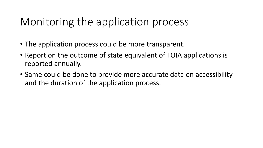## Monitoring the application process

- The application process could be more transparent.
- Report on the outcome of state equivalent of FOIA applications is reported annually.
- Same could be done to provide more accurate data on accessibility and the duration of the application process.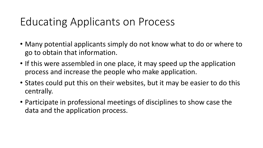## Educating Applicants on Process

- Many potential applicants simply do not know what to do or where to go to obtain that information.
- If this were assembled in one place, it may speed up the application process and increase the people who make application.
- States could put this on their websites, but it may be easier to do this centrally.
- Participate in professional meetings of disciplines to show case the data and the application process.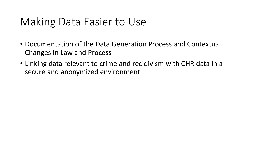## Making Data Easier to Use

- Documentation of the Data Generation Process and Contextual Changes in Law and Process
- Linking data relevant to crime and recidivism with CHR data in a secure and anonymized environment.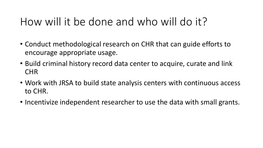## How will it be done and who will do it?

- Conduct methodological research on CHR that can guide efforts to encourage appropriate usage.
- Build criminal history record data center to acquire, curate and link CHR
- Work with JRSA to build state analysis centers with continuous access to CHR.
- Incentivize independent researcher to use the data with small grants.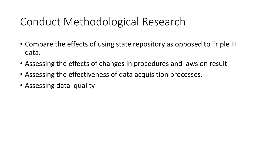## Conduct Methodological Research

- Compare the effects of using state repository as opposed to Triple III data.
- Assessing the effects of changes in procedures and laws on result
- Assessing the effectiveness of data acquisition processes.
- Assessing data quality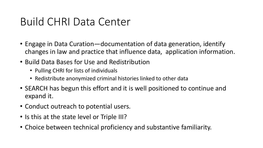## Build CHRI Data Center

- Engage in Data Curation—documentation of data generation, identify changes in law and practice that influence data, application information.
- Build Data Bases for Use and Redistribution
	- Pulling CHRI for lists of individuals
	- Redistribute anonymized criminal histories linked to other data
- SEARCH has begun this effort and it is well positioned to continue and expand it.
- Conduct outreach to potential users.
- Is this at the state level or Triple III?
- Choice between technical proficiency and substantive familiarity.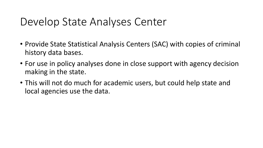## Develop State Analyses Center

- Provide State Statistical Analysis Centers (SAC) with copies of criminal history data bases.
- For use in policy analyses done in close support with agency decision making in the state.
- This will not do much for academic users, but could help state and local agencies use the data.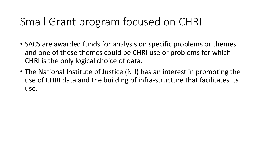## Small Grant program focused on CHRI

- SACS are awarded funds for analysis on specific problems or themes and one of these themes could be CHRI use or problems for which CHRI is the only logical choice of data.
- The National Institute of Justice (NIJ) has an interest in promoting the use of CHRI data and the building of infra-structure that facilitates its use.